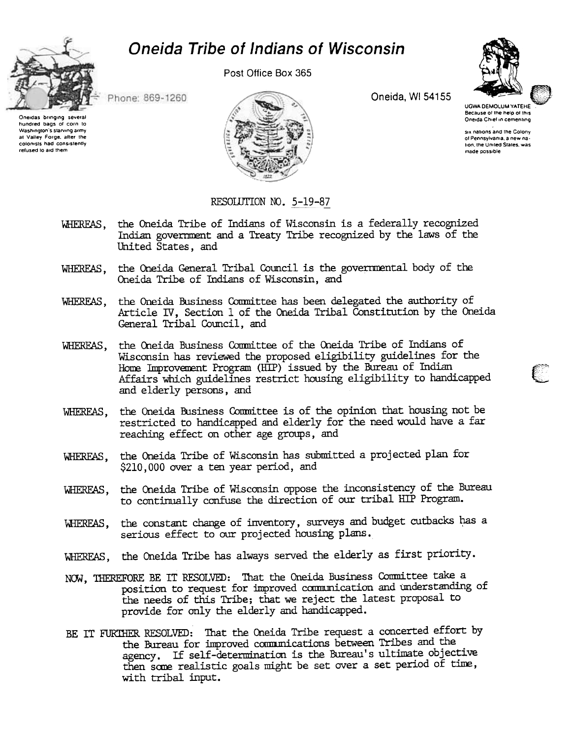



Post Office Box 365



Phone: 869-1260

Oneidas bringing several hundred bags of corn to Washington's starving army at Valley Forge, after the colonists had consistently refused to aid them



Oneida, WI 54155

**UGWA DEMOLUM YATEHE** Because of the help of this Oneida Chief in cementing

six nations and the Colony of Pennsylvania, a new nation, the United States, was made oossible

## RESOLUTION NO. 5-19-87

- WHEREAS, the Oneida Tribe of Indians of Wisconsin is a federally recognized Indian government and a Treaty Tribe recognized by the laws of the United States, and
- WHEREAS, the Oneida General Tribal Council is the governmental body of the Oneida Tribe of Indians of Wisconsin, and
- WHEREAS, the Oneida Business Committee has been delegated the authority of Article IV, Section 1 of the Oneida Tribal Constitution by the Oneida General Tribal Council, and
- WHEREAS, the Oneida Business Committee of the Oneida Tribe of Indians of Wisconsin has reviewed the proposed eligibility guidelines for the Home Improvement Program (HIP) issued by the Bureau of Indian Affairs which guidelines restrict housing eligibility to handicapped and elderly persons, and
- the Oneida Business Committee is of the opinion that housing not be WHEREAS, restricted to handicapped and elderly for the need would have a far reaching effect on other age groups, and
- the Oneida Tribe of Wisconsin has submitted a projected plan for WHEREAS, \$210,000 over a ten year period, and
- the Oneida Tribe of Wisconsin oppose the inconsistency of the Bureau WHEREAS. to continually confuse the direction of our tribal HIP Program.
- WHEREAS, the constant change of inventory, surveys and budget cutbacks has a serious effect to our projected housing plans.
- WHEREAS, the Oneida Tribe has always served the elderly as first priority.
- NOW, THEREFORE BE IT RESOLVED: That the Oneida Business Committee take a position to request for improved communication and understanding of the needs of this Tribe; that we reject the latest proposal to provide for only the elderly and handicapped.
- BE IT FURTHER RESOLVED: That the Oneida Tribe request a concerted effort by the Bureau for improved communications between Tribes and the agency. If self-determination is the Bureau's ultimate objective then some realistic goals might be set over a set period of time, with tribal input.